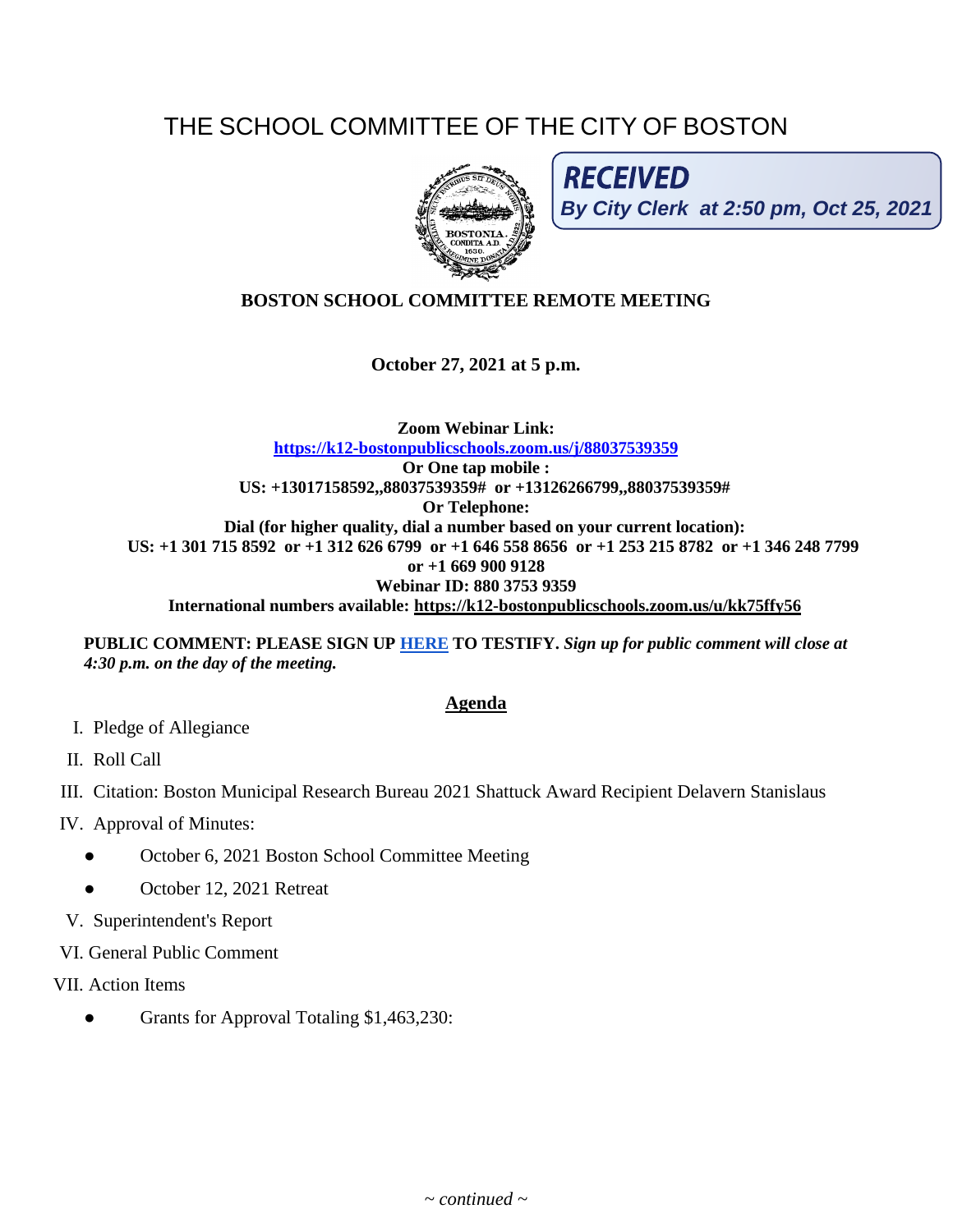## THE SCHOOL COMMITTEE OF THE CITY OF BOSTON



**RECEIVED By City Clerk at 2:50 pm, Oct 25, 2021**

## **BOSTON SCHOOL COMMITTEE REMOTE MEETING**

**October 27, 2021 at 5 p.m.**

**Zoom Webinar Link: <https://k12-bostonpublicschools.zoom.us/j/88037539359> Or One tap mobile : US: +13017158592,,88037539359# or +13126266799,,88037539359# Or Telephone: Dial (for higher quality, dial a number based on your current location): US: +1 301 715 8592 or +1 312 626 6799 or +1 646 558 8656 or +1 253 215 8782 or +1 346 248 7799 or +1 669 900 9128 Webinar ID: 880 3753 9359 International numbers available:<https://k12-bostonpublicschools.zoom.us/u/kk75ffy56>**

**PUBLIC COMMENT: PLEASE SIGN UP [HERE](https://forms.gle/Mz2Frxm4jeUGbE9g9) TO TESTIFY.** *Sign up for public comment will close at* 

*4:30 p.m. on the day of the meeting.* 

## **Agenda**

- I. Pledge of Allegiance
- II. Roll Call
- III. Citation: Boston Municipal Research Bureau 2021 Shattuck Award Recipient Delavern Stanislaus
- IV. Approval of Minutes:
	- October 6, 2021 Boston School Committee Meeting
	- October 12, 2021 Retreat
- V. Superintendent's Report
- VI. General Public Comment
- VII. Action Items
	- Grants for Approval Totaling \$1,463,230: